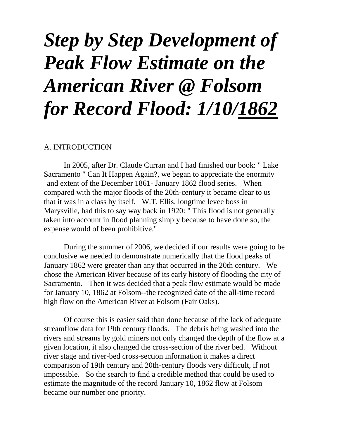# *Step by Step Development of Peak Flow Estimate on the American River @ Folsom for Record Flood: 1/10/1862*

#### A. INTRODUCTION

In 2005, after Dr. Claude Curran and I had finished our book: " Lake Sacramento " Can It Happen Again?, we began to appreciate the enormity and extent of the December 1861- January 1862 flood series. When compared with the major floods of the 20th-century it became clear to us that it was in a class by itself. W.T. Ellis, longtime levee boss in Marysville, had this to say way back in 1920: " This flood is not generally taken into account in flood planning simply because to have done so, the expense would of been prohibitive."

During the summer of 2006, we decided if our results were going to be conclusive we needed to demonstrate numerically that the flood peaks of January 1862 were greater than any that occurred in the 20th century. We chose the American River because of its early history of flooding the city of Sacramento. Then it was decided that a peak flow estimate would be made for January 10, 1862 at Folsom--the recognized date of the all-time record high flow on the American River at Folsom (Fair Oaks).

Of course this is easier said than done because of the lack of adequate streamflow data for 19th century floods. The debris being washed into the rivers and streams by gold miners not only changed the depth of the flow at a given location, it also changed the cross-section of the river bed. Without river stage and river-bed cross-section information it makes a direct comparison of 19th century and 20th-century floods very difficult, if not impossible. So the search to find a credible method that could be used to estimate the magnitude of the record January 10, 1862 flow at Folsom became our number one priority.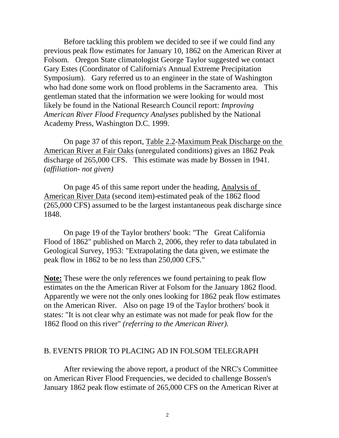Before tackling this problem we decided to see if we could find any previous peak flow estimates for January 10, 1862 on the American River at Folsom. Oregon State climatologist George Taylor suggested we contact Gary Estes (Coordinator of California's Annual Extreme Precipitation Symposium). Gary referred us to an engineer in the state of Washington who had done some work on flood problems in the Sacramento area. This gentleman stated that the information we were looking for would most likely be found in the National Research Council report: *Improving American River Flood Frequency Analyses* published by the National Academy Press, Washington D.C. 1999.

On page 37 of this report, Table 2.2-Maximum Peak Discharge on the American River at Fair Oaks (unregulated conditions) gives an 1862 Peak discharge of 265,000 CFS. This estimate was made by Bossen in 1941. *(affiliation- not given)* 

On page 45 of this same report under the heading, Analysis of American River Data (second item)-estimated peak of the 1862 flood (265,000 CFS) assumed to be the largest instantaneous peak discharge since 1848.

On page 19 of the Taylor brothers' book: "The Great California Flood of 1862" published on March 2, 2006, they refer to data tabulated in Geological Survey, 1953: "Extrapolating the data given, we estimate the peak flow in 1862 to be no less than 250,000 CFS."

**Note:** These were the only references we found pertaining to peak flow estimates on the the American River at Folsom for the January 1862 flood. Apparently we were not the only ones looking for 1862 peak flow estimates on the American River. Also on page 19 of the Taylor brothers' book it states: "It is not clear why an estimate was not made for peak flow for the 1862 flood on this river" *(referring to the American River).*

#### B. EVENTS PRIOR TO PLACING AD IN FOLSOM TELEGRAPH

After reviewing the above report, a product of the NRC's Committee on American River Flood Frequencies, we decided to challenge Bossen's January 1862 peak flow estimate of 265,000 CFS on the American River at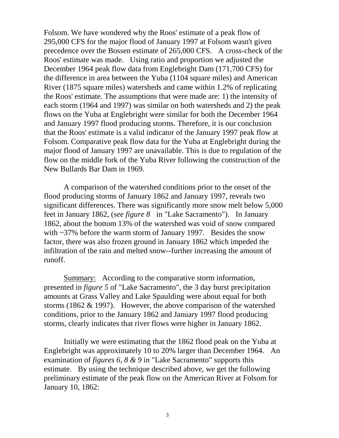Folsom. We have wondered why the Roos' estimate of a peak flow of 295,000 CFS for the major flood of January 1997 at Folsom wasn't given precedence over the Bossen estimate of 265,000 CFS. A cross-check of the Roos' estimate was made. Using ratio and proportion we adjusted the December 1964 peak flow data from Englebright Dam (171,700 CFS) for the difference in area between the Yuba (1104 square miles) and American River (1875 square miles) watersheds and came within 1.2% of replicating the Roos' estimate. The assumptions that were made are: 1) the intensity of each storm (1964 and 1997) was similar on both watersheds and 2) the peak flows on the Yuba at Englebright were similar for both the December 1964 and January 1997 flood producing storms. Therefore, it is our conclusion that the Roos' estimate is a valid indicator of the January 1997 peak flow at Folsom. Comparative peak flow data for the Yuba at Englebright during the major flood of January 1997 are unavailable. This is due to regulation of the flow on the middle fork of the Yuba River following the construction of the New Bullards Bar Dam in 1969.

A comparison of the watershed conditions prior to the onset of the flood producing storms of January 1862 and January 1997, reveals two significant differences. There was significantly more snow melt below 5,000 feet in January 1862, (s*ee figure 8* in "Lake Sacramento"). In January 1862, about the bottom 13% of the watershed was void of snow compared with ~37% before the warm storm of January 1997. Besides the snow factor, there was also frozen ground in January 1862 which impeded the infiltration of the rain and melted snow--further increasing the amount of runoff.

Summary: According to the comparative storm information, presented in *figure 5* of "Lake Sacramento", the 3 day burst precipitation amounts at Grass Valley and Lake Spaulding were about equal for both storms (1862 & 1997). However, the above comparison of the watershed conditions, prior to the January 1862 and January 1997 flood producing storms, clearly indicates that river flows were higher in January 1862.

Initially we were estimating that the 1862 flood peak on the Yuba at Englebright was approximately 10 to 20% larger than December 1964. An examination of *figures 6, 8 & 9* in "Lake Sacramento" supports this estimate. By using the technique described above, we get the following preliminary estimate of the peak flow on the American River at Folsom for January 10, 1862: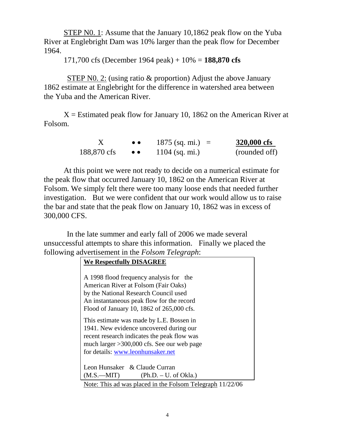STEP N0. 1: Assume that the January 10,1862 peak flow on the Yuba River at Englebright Dam was 10% larger than the peak flow for December 1964.

171,700 cfs (December 1964 peak) + 10% = **188,870 cfs** 

STEP N0. 2: (using ratio & proportion) Adjust the above January 1862 estimate at Englebright for the difference in watershed area between the Yuba and the American River.

 $X =$  Estimated peak flow for January 10, 1862 on the American River at Folsom.

|             | $\bullet$ $\bullet$ | $1875$ (sq. mi.) = | 320,000 cfs   |
|-------------|---------------------|--------------------|---------------|
| 188,870 cfs | $\bullet\bullet$    | $1104$ (sq. mi.)   | (rounded off) |

At this point we were not ready to decide on a numerical estimate for the peak flow that occurred January 10, 1862 on the American River at Folsom. We simply felt there were too many loose ends that needed further investigation. But we were confident that our work would allow us to raise the bar and state that the peak flow on January 10, 1862 was in excess of 300,000 CFS.

In the late summer and early fall of 2006 we made several unsuccessful attempts to share this information. Finally we placed the following advertisement in the *Folsom Telegraph*:

| <b>We Respectfully DISAGREE</b>                                                                                                                                                                                                                                                                                                                                                                           |  |  |
|-----------------------------------------------------------------------------------------------------------------------------------------------------------------------------------------------------------------------------------------------------------------------------------------------------------------------------------------------------------------------------------------------------------|--|--|
| A 1998 flood frequency analysis for the<br>American River at Folsom (Fair Oaks)<br>by the National Research Council used<br>An instantaneous peak flow for the record<br>Flood of January 10, 1862 of 265,000 cfs.                                                                                                                                                                                        |  |  |
| This estimate was made by L.E. Bossen in<br>1941. New evidence uncovered during our<br>recent research indicates the peak flow was<br>much larger $>300,000$ cfs. See our web page<br>for details: www.leonhunsaker.net                                                                                                                                                                                   |  |  |
| Leon Hunsaker & Claude Curran<br>$(M.S.—MIT)$ (Ph.D. – U. of Okla.)<br>$\mathbf{M}$ $\mathbf{m}$ $\mathbf{1}$ $\mathbf{1}$ $\mathbf{1}$ $\mathbf{1}$ $\mathbf{1}$ $\mathbf{1}$ $\mathbf{1}$ $\mathbf{1}$ $\mathbf{1}$ $\mathbf{1}$ $\mathbf{1}$ $\mathbf{1}$ $\mathbf{1}$ $\mathbf{1}$ $\mathbf{1}$ $\mathbf{1}$ $\mathbf{1}$ $\mathbf{1}$ $\mathbf{1}$ $\mathbf{1}$ $\mathbf{1}$ $\mathbf{1}$ $\mathbf{$ |  |  |

Note: This ad was placed in the Folsom Telegraph 11/22/06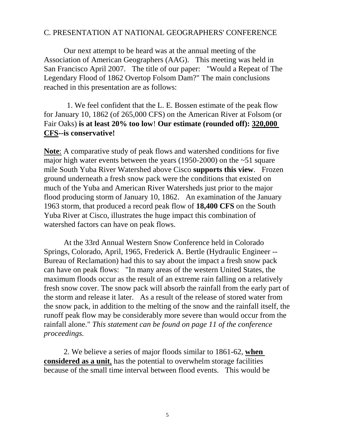## C. PRESENTATION AT NATIONAL GEOGRAPHERS' CONFERENCE

Our next attempt to be heard was at the annual meeting of the Association of American Geographers (AAG). This meeting was held in San Francisco April 2007. The title of our paper: "Would a Repeat of The Legendary Flood of 1862 Overtop Folsom Dam?" The main conclusions reached in this presentation are as follows:

1. We feel confident that the L. E. Bossen estimate of the peak flow for January 10, 1862 (of 265,000 CFS) on the American River at Folsom (or Fair Oaks) **is at least 20% too low**! **Our estimate (rounded off): 320,000 CFS--is conservative!** 

**Note**: A comparative study of peak flows and watershed conditions for five major high water events between the years (1950-2000) on the  $\sim$ 51 square mile South Yuba River Watershed above Cisco **supports this view**. Frozen ground underneath a fresh snow pack were the conditions that existed on much of the Yuba and American River Watersheds just prior to the major flood producing storm of January 10, 1862. An examination of the January 1963 storm, that produced a record peak flow of **18,400 CFS** on the South Yuba River at Cisco, illustrates the huge impact this combination of watershed factors can have on peak flows.

At the 33rd Annual Western Snow Conference held in Colorado Springs, Colorado, April, 1965, Frederick A. Bertle (Hydraulic Engineer -- Bureau of Reclamation) had this to say about the impact a fresh snow pack can have on peak flows: "In many areas of the western United States, the maximum floods occur as the result of an extreme rain falling on a relatively fresh snow cover. The snow pack will absorb the rainfall from the early part of the storm and release it later. As a result of the release of stored water from the snow pack, in addition to the melting of the snow and the rainfall itself, the runoff peak flow may be considerably more severe than would occur from the rainfall alone." *This statement can be found on page 11 of the conference proceedings.*

2. We believe a series of major floods similar to 1861-62, **when considered as a unit**, has the potential to overwhelm storage facilities because of the small time interval between flood events. This would be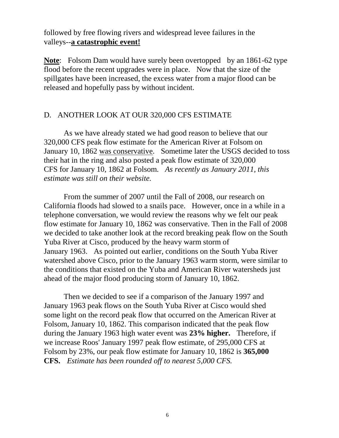followed by free flowing rivers and widespread levee failures in the valleys--**a catastrophic event!**

**Note**: Folsom Dam would have surely been overtopped by an 1861-62 type flood before the recent upgrades were in place. Now that the size of the spillgates have been increased, the excess water from a major flood can be released and hopefully pass by without incident.

#### D. ANOTHER LOOK AT OUR 320,000 CFS ESTIMATE

As we have already stated we had good reason to believe that our 320,000 CFS peak flow estimate for the American River at Folsom on January 10, 1862 was conservative. Sometime later the USGS decided to toss their hat in the ring and also posted a peak flow estimate of 320,000 CFS for January 10, 1862 at Folsom. *As recently as January 2011, this estimate was still on their website.* 

From the summer of 2007 until the Fall of 2008, our research on California floods had slowed to a snails pace. However, once in a while in a telephone conversation, we would review the reasons why we felt our peak flow estimate for January 10, 1862 was conservative. Then in the Fall of 2008 we decided to take another look at the record breaking peak flow on the South Yuba River at Cisco, produced by the heavy warm storm of January 1963. As pointed out earlier, conditions on the South Yuba River watershed above Cisco, prior to the January 1963 warm storm, were similar to the conditions that existed on the Yuba and American River watersheds just ahead of the major flood producing storm of January 10, 1862.

Then we decided to see if a comparison of the January 1997 and January 1963 peak flows on the South Yuba River at Cisco would shed some light on the record peak flow that occurred on the American River at Folsom, January 10, 1862. This comparison indicated that the peak flow during the January 1963 high water event was **23% higher.** Therefore, if we increase Roos' January 1997 peak flow estimate, of 295,000 CFS at Folsom by 23%, our peak flow estimate for January 10, 1862 is **365,000 CFS.** *Estimate has been rounded off to nearest 5,000 CFS.*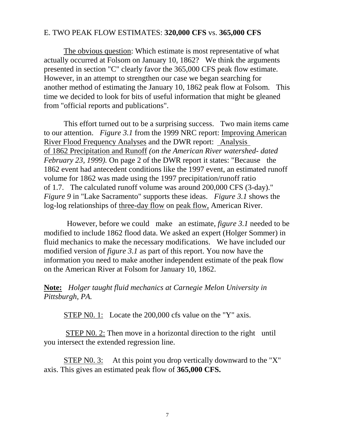## E. TWO PEAK FLOW ESTIMATES: **320,000 CFS** vs. **365,000 CFS**

The obvious question: Which estimate is most representative of what actually occurred at Folsom on January 10, 1862? We think the arguments presented in section "C" clearly favor the 365,000 CFS peak flow estimate. However, in an attempt to strengthen our case we began searching for another method of estimating the January 10, 1862 peak flow at Folsom. This time we decided to look for bits of useful information that might be gleaned from "official reports and publications".

This effort turned out to be a surprising success. Two main items came to our attention. *Figure 3.1* from the 1999 NRC report: Improving American River Flood Frequency Analyses and the DWR report: Analysis of 1862 Precipitation and Runoff *(on the American River watershed- dated February 23, 1999).* On page 2 of the DWR report it states: "Because the 1862 event had antecedent conditions like the 1997 event, an estimated runoff volume for 1862 was made using the 1997 precipitation/runoff ratio of 1.7. The calculated runoff volume was around 200,000 CFS (3-day)." *Figure 9* in "Lake Sacramento" supports these ideas. *Figure 3.1* shows the log-log relationships of three-day flow on peak flow, American River.

However, before we could make an estimate, *figure 3.1* needed to be modified to include 1862 flood data. We asked an expert (Holger Sommer) in fluid mechanics to make the necessary modifications. We have included our modified version of *figure 3.1* as part of this report. You now have the information you need to make another independent estimate of the peak flow on the American River at Folsom for January 10, 1862.

**Note:** *Holger taught fluid mechanics at Carnegie Melon University in Pittsburgh, PA.* 

STEP N0. 1: Locate the 200,000 cfs value on the "Y" axis.

STEP N0. 2: Then move in a horizontal direction to the right until you intersect the extended regression line.

STEP N0. 3: At this point you drop vertically downward to the "X" axis. This gives an estimated peak flow of **365,000 CFS.**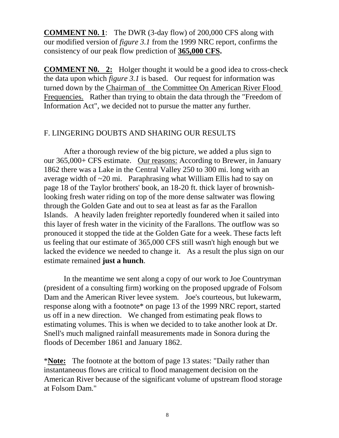**COMMENT N0. 1**:The DWR (3-day flow) of 200,000 CFS along with our modified version of *figure 3.1* from the 1999 NRC report, confirms the consistency of our peak flow prediction of **365,000 CFS.**

**COMMENT N0. 2:** Holger thought it would be a good idea to cross-check the data upon which *figure 3.1* is based. Our request for information was turned down by the Chairman of the Committee On American River Flood Frequencies. Rather than trying to obtain the data through the "Freedom of Information Act", we decided not to pursue the matter any further.

## F. LINGERING DOUBTS AND SHARING OUR RESULTS

After a thorough review of the big picture, we added a plus sign to our 365,000+ CFS estimate. Our reasons: According to Brewer, in January 1862 there was a Lake in the Central Valley 250 to 300 mi. long with an average width of ~20 mi. Paraphrasing what William Ellis had to say on page 18 of the Taylor brothers' book, an 18-20 ft. thick layer of brownishlooking fresh water riding on top of the more dense saltwater was flowing through the Golden Gate and out to sea at least as far as the Farallon Islands. A heavily laden freighter reportedly foundered when it sailed into this layer of fresh water in the vicinity of the Farallons. The outflow was so pronouced it stopped the tide at the Golden Gate for a week. These facts left us feeling that our estimate of 365,000 CFS still wasn't high enough but we lacked the evidence we needed to change it. As a result the plus sign on our estimate remained **just a hunch**.

In the meantime we sent along a copy of our work to Joe Countryman (president of a consulting firm) working on the proposed upgrade of Folsom Dam and the American River levee system. Joe's courteous, but lukewarm, response along with a footnote\* on page 13 of the 1999 NRC report, started us off in a new direction. We changed from estimating peak flows to estimating volumes. This is when we decided to to take another look at Dr. Snell's much maligned rainfall measurements made in Sonora during the floods of December 1861 and January 1862.

\***Note:** The footnote at the bottom of page 13 states: "Daily rather than instantaneous flows are critical to flood management decision on the American River because of the significant volume of upstream flood storage at Folsom Dam."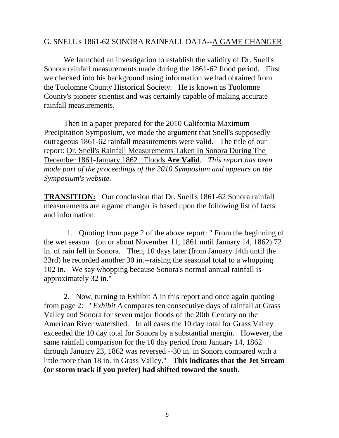## G. SNELL's 1861-62 SONORA RAINFALL DATA--A GAME CHANGER

We launched an investigation to establish the validity of Dr. Snell's Sonora rainfall measurements made during the 1861-62 flood period. First we checked into his background using information we had obtained from the Tuolomne County Historical Society. He is known as Tuolomne County's pioneer scientist and was certainly capable of making accurate rainfall measurements.

Then in a paper prepared for the 2010 California Maximum Precipitation Symposium, we made the argument that Snell's supposedly outrageous 1861-62 rainfall measurements were valid. The title of our report: Dr. Snell's Rainfall Measurements Taken In Sonora During The December 1861-January 1862 Floods **Are Valid**. *This report has been made part of the proceedings of the 2010 Symposium and appears on the Symposium's website.*

**TRANSITION:** Our conclusion that Dr. Snell's 1861-62 Sonora rainfall measurements are a game changer is based upon the following list of facts and information:

1. Quoting from page 2 of the above report: " From the beginning of the wet season (on or about November 11, 1861 until January 14, 1862) 72 in. of rain fell in Sonora. Then, 10 days later (from January 14th until the 23rd) he recorded another 30 in.--raising the seasonal total to a whopping 102 in. We say whopping because Sonora's normal annual rainfall is approximately 32 in."

2. Now, turning to Exhibit A in this report and once again quoting from page 2: "*Exhibit A* compares ten consecutive days of rainfall at Grass Valley and Sonora for seven major floods of the 20th Century on the American River watershed. In all cases the 10 day total for Grass Valley exceeded the 10 day total for Sonora by a substantial margin. However, the same rainfall comparison for the 10 day period from January 14, 1862 through January 23, 1862 was reversed --30 in. in Sonora compared with a little more than 18 in. in Grass Valley." **This indicates that the Jet Stream (or storm track if you prefer) had shifted toward the south.**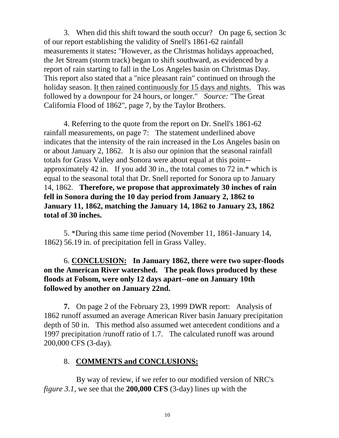3.When did this shift toward the south occur? On page 6, section 3c of our report establishing the validity of Snell's 1861-62 rainfall measurements it states**:** "However, as the Christmas holidays approached, the Jet Stream (storm track) began to shift southward, as evidenced by a report of rain starting to fall in the Los Angeles basin on Christmas Day. This report also stated that a "nice pleasant rain" continued on through the holiday season. It then rained continuously for 15 days and nights. This was followed by a downpour for 24 hours, or longer." *Source:* "The Great California Flood of 1862", page 7, by the Taylor Brothers.

4. Referring to the quote from the report on Dr. Snell's 1861-62 rainfall measurements, on page 7: The statement underlined above indicates that the intensity of the rain increased in the Los Angeles basin on or about January 2, 1862. It is also our opinion that the seasonal rainfall totals for Grass Valley and Sonora were about equal at this point- approximately 42 in. If you add 30 in., the total comes to 72 in.\* which is equal to the seasonal total that Dr. Snell reported for Sonora up to January 14, 1862. **Therefore, we propose that approximately 30 inches of rain fell in Sonora during the 10 day period from January 2, 1862 to January 11, 1862, matching the January 14, 1862 to January 23, 1862 total of 30 inches.**

5. \*During this same time period (November 11, 1861-January 14, 1862) 56.19 in. of precipitation fell in Grass Valley.

## 6. **CONCLUSION: In January 1862, there were two super-floods on the American River watershed. The peak flows produced by these floods at Folsom, were only 12 days apart--one on January 10th followed by another on January 22nd.**

**7.** On page 2 of the February 23, 1999 DWR report: Analysis of 1862 runoff assumed an average American River basin January precipitation depth of 50 in. This method also assumed wet antecedent conditions and a 1997 precipitation /runoff ratio of 1.7. The calculated runoff was around 200,000 CFS (3-day).

## 8. **COMMENTS and CONCLUSIONS:**

 By way of review, if we refer to our modified version of NRC's *figure 3.1*, we see that the **200,000 CFS** (3-day) lines up with the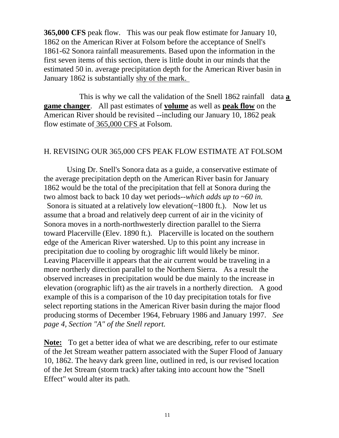**365,000 CFS** peak flow. This was our peak flow estimate for January 10, 1862 on the American River at Folsom before the acceptance of Snell's 1861-62 Sonora rainfall measurements. Based upon the information in the first seven items of this section, there is little doubt in our minds that the estimated 50 in. average precipitation depth for the American River basin in January 1862 is substantially shy of the mark.

 This is why we call the validation of the Snell 1862 rainfall data **a game changer**. All past estimates of **volume** as well as **peak flow** on the American River should be revisited --including our January 10, 1862 peak flow estimate of 365,000 CFS at Folsom.

#### H. REVISING OUR 365,000 CFS PEAK FLOW ESTIMATE AT FOLSOM

Using Dr. Snell's Sonora data as a guide, a conservative estimate of the average precipitation depth on the American River basin for January 1862 would be the total of the precipitation that fell at Sonora during the two almost back to back 10 day wet periods--*which adds up to* ~*60 in.*  Sonora is situated at a relatively low elevation( $\sim$ 1800 ft.). Now let us assume that a broad and relatively deep current of air in the vicinity of Sonora moves in a north-northwesterly direction parallel to the Sierra toward Placerville (Elev. 1890 ft.). Placerville is located on the southern edge of the American River watershed. Up to this point any increase in precipitation due to cooling by orograghic lift would likely be minor. Leaving Placerville it appears that the air current would be traveling in a more northerly direction parallel to the Northern Sierra. As a result the observed increases in precipitation would be due mainly to the increase in elevation (orographic lift) as the air travels in a northerly direction. A good example of this is a comparison of the 10 day precipitation totals for five select reporting stations in the American River basin during the major flood producing storms of December 1964, February 1986 and January 1997. *See page 4, Section "A" of the Snell report.* 

**Note:** To get a better idea of what we are describing, refer to our estimate of the Jet Stream weather pattern associated with the Super Flood of January 10, 1862. The heavy dark green line, outlined in red, is our revised location of the Jet Stream (storm track) after taking into account how the "Snell Effect" would alter its path.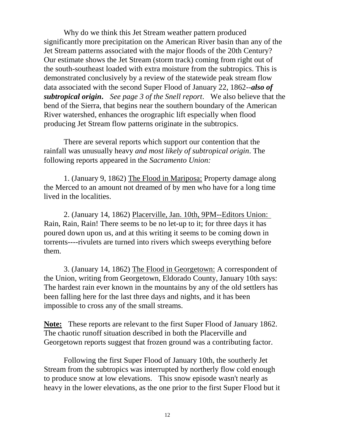Why do we think this Jet Stream weather pattern produced significantly more precipitation on the American River basin than any of the Jet Stream patterns associated with the major floods of the 20th Century? Our estimate shows the Jet Stream (storm track) coming from right out of the south-southeast loaded with extra moisture from the subtropics. This is demonstrated conclusively by a review of the statewide peak stream flow data associated with the second Super Flood of January 22, 1862--*also of subtropical origin***.** *See page 3 of the Snell report*. We also believe that the bend of the Sierra, that begins near the southern boundary of the American River watershed, enhances the orographic lift especially when flood producing Jet Stream flow patterns originate in the subtropics.

There are several reports which support our contention that the rainfall was unusually heavy *and most likely of subtropical origin*. The following reports appeared in the *Sacramento Union:*

1. (January 9, 1862) The Flood in Mariposa: Property damage along the Merced to an amount not dreamed of by men who have for a long time lived in the localities.

2. (January 14, 1862) Placerville, Jan. 10th, 9PM--Editors Union: Rain, Rain, Rain! There seems to be no let-up to it; for three days it has poured down upon us, and at this writing it seems to be coming down in torrents----rivulets are turned into rivers which sweeps everything before them.

3. (January 14, 1862) The Flood in Georgetown: A correspondent of the Union, writing from Georgetown, Eldorado County, January 10th says: The hardest rain ever known in the mountains by any of the old settlers has been falling here for the last three days and nights, and it has been impossible to cross any of the small streams.

**Note:** These reports are relevant to the first Super Flood of January 1862. The chaotic runoff situation described in both the Placerville and Georgetown reports suggest that frozen ground was a contributing factor.

Following the first Super Flood of January 10th, the southerly Jet Stream from the subtropics was interrupted by northerly flow cold enough to produce snow at low elevations. This snow episode wasn't nearly as heavy in the lower elevations, as the one prior to the first Super Flood but it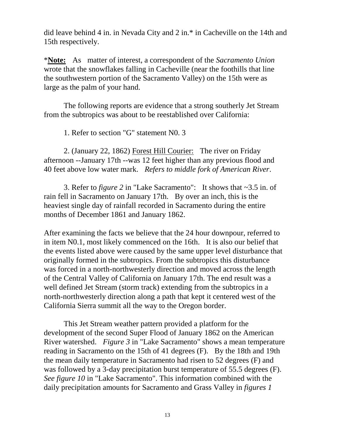did leave behind 4 in. in Nevada City and 2 in.\* in Cacheville on the 14th and 15th respectively.

\***Note:** As matter of interest, a correspondent of the *Sacramento Union*  wrote that the snowflakes falling in Cacheville (near the foothills that line the southwestern portion of the Sacramento Valley) on the 15th were as large as the palm of your hand.

The following reports are evidence that a strong southerly Jet Stream from the subtropics was about to be reestablished over California:

1. Refer to section "G" statement N0. 3

2. (January 22, 1862) Forest Hill Courier: The river on Friday afternoon --January 17th --was 12 feet higher than any previous flood and 40 feet above low water mark. *Refers to middle fork of American River*.

3. Refer to *figure 2* in "Lake Sacramento": It shows that ~3.5 in. of rain fell in Sacramento on January 17th. By over an inch, this is the heaviest single day of rainfall recorded in Sacramento during the entire months of December 1861 and January 1862.

After examining the facts we believe that the 24 hour downpour, referred to in item N0.1, most likely commenced on the 16th. It is also our belief that the events listed above were caused by the same upper level disturbance that originally formed in the subtropics. From the subtropics this disturbance was forced in a north-northwesterly direction and moved across the length of the Central Valley of California on January 17th. The end result was a well defined Jet Stream (storm track) extending from the subtropics in a north-northwesterly direction along a path that kept it centered west of the California Sierra summit all the way to the Oregon border.

This Jet Stream weather pattern provided a platform for the development of the second Super Flood of January 1862 on the American River watershed. *Figure 3* in "Lake Sacramento" shows a mean temperature reading in Sacramento on the 15th of 41 degrees (F). By the 18th and 19th the mean daily temperature in Sacramento had risen to 52 degrees (F) and was followed by a 3-day precipitation burst temperature of 55.5 degrees (F). *See figure 10* in "Lake Sacramento". This information combined with the daily precipitation amounts for Sacramento and Grass Valley in *figures 1*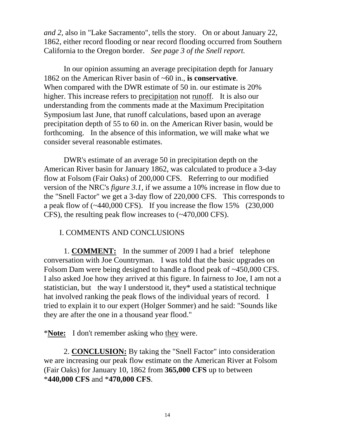*and 2,* also in "Lake Sacramento", tells the story. On or about January 22, 1862, either record flooding or near record flooding occurred from Southern California to the Oregon border. *See page 3 of the Snell report.* 

In our opinion assuming an average precipitation depth for January 1862 on the American River basin of ~60 in., **is conservative**. When compared with the DWR estimate of 50 in. our estimate is 20% higher. This increase refers to precipitation not runoff. It is also our understanding from the comments made at the Maximum Precipitation Symposium last June, that runoff calculations, based upon an average precipitation depth of 55 to 60 in. on the American River basin, would be forthcoming. In the absence of this information, we will make what we consider several reasonable estimates.

DWR's estimate of an average 50 in precipitation depth on the American River basin for January 1862, was calculated to produce a 3-day flow at Folsom (Fair Oaks) of 200,000 CFS. Referring to our modified version of the NRC's *figure 3.1,* if we assume a 10% increase in flow due to the "Snell Factor" we get a 3-day flow of 220,000 CFS. This corresponds to a peak flow of  $(\sim 440,000 \text{ CFS})$ . If you increase the flow 15% (230,000) CFS), the resulting peak flow increases to (~470,000 CFS).

#### I. COMMENTS AND CONCLUSIONS

1. **COMMENT:** In the summer of 2009 I had a brief telephone conversation with Joe Countryman. I was told that the basic upgrades on Folsom Dam were being designed to handle a flood peak of ~450,000 CFS. I also asked Joe how they arrived at this figure. In fairness to Joe, I am not a statistician, but the way I understood it, they\* used a statistical technique hat involved ranking the peak flows of the individual years of record. I tried to explain it to our expert (Holger Sommer) and he said: "Sounds like they are after the one in a thousand year flood."

\***Note:** I don't remember asking who they were.

2. **CONCLUSION:** By taking the "Snell Factor" into consideration we are increasing our peak flow estimate on the American River at Folsom (Fair Oaks) for January 10, 1862 from **365,000 CFS** up to between \***440,000 CFS** and \***470,000 CFS**.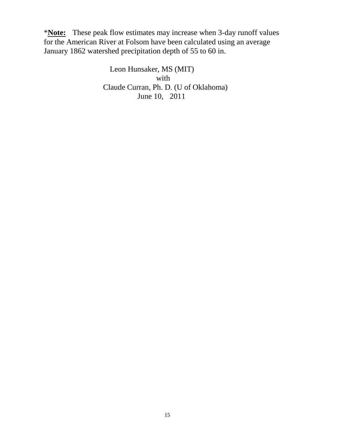\***Note:** These peak flow estimates may increase when 3-day runoff values for the American River at Folsom have been calculated using an average January 1862 watershed precipitation depth of 55 to 60 in.

> Leon Hunsaker, MS (MIT) with Claude Curran, Ph. D. (U of Oklahoma) June 10, 2011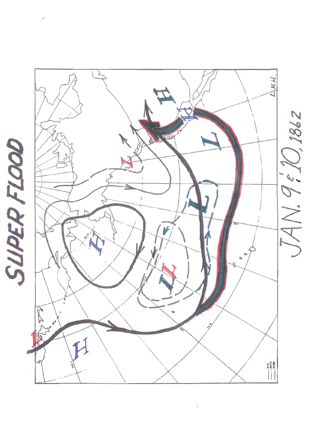

 $\mu$